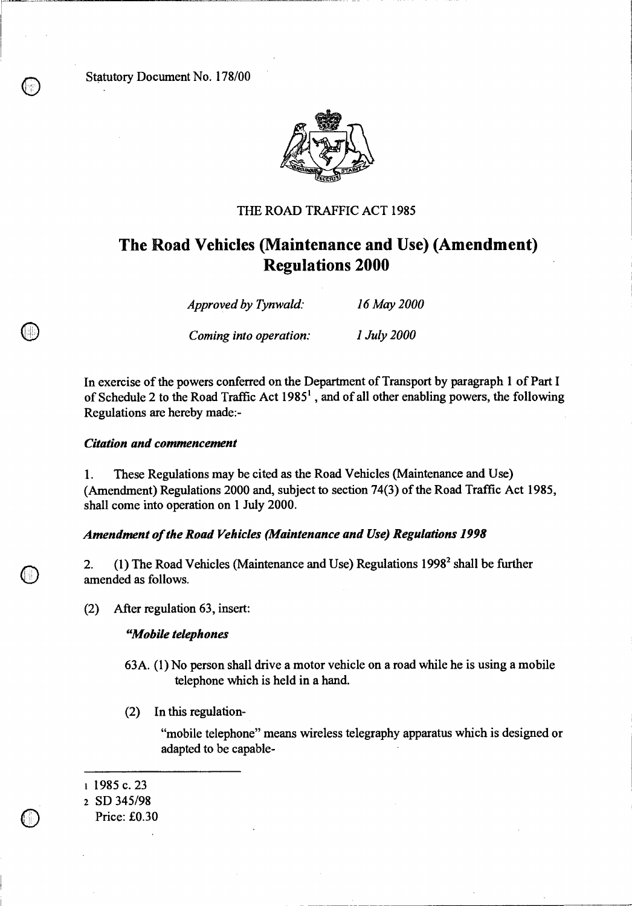Statutory Document No. 178/00



## THE ROAD TRAFFIC ACT 1985

# **The Road Vehicles (Maintenance and Use) (Amendment) Regulations 2000**

| Approved by Tynwald:   | 16 May 2000 |
|------------------------|-------------|
| Coming into operation: | 1 July 2000 |

In exercise of the powers conferred on the Department of Transport by paragraph 1 of Part I of Schedule 2 to the Road Traffic Act 1985<sup>1</sup>, and of all other enabling powers, the following Regulations are hereby made:-

#### *Citation and commencement*

1. These Regulations may be cited as the Road Vehicles (Maintenance and Use) (Amendment) Regulations 2000 and, subject to section 74(3) of the Road Traffic Act 1985, shall come into operation on 1 July 2000.

## *Amendment of the Road Vehicles (Maintenance and Use) Regulations 1998*

2. (1) The Road Vehicles (Maintenance and Use) Regulations  $1998<sup>2</sup>$  shall be further amended as follows.

(2) After regulation 63, insert:

#### *"Mobile telephones*

- 63A. (1) No person shall drive a motor vehicle on a road while he is using a mobile telephone which is held in a hand.
- (2) In this regulation-

"mobile telephone" means wireless telegraphy apparatus which is designed or adapted to be capable-

#### i 1985 c. 23

<sup>2</sup>SD 345/98

Price: £0.30